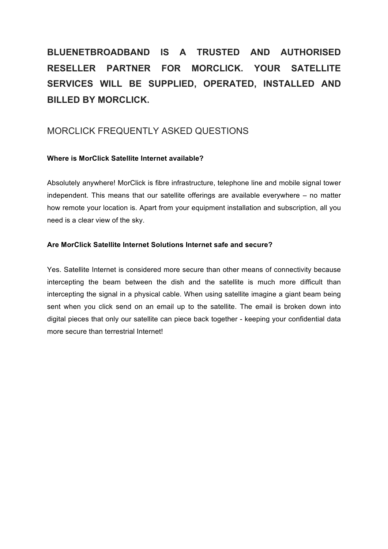# **BLUENETBROADBAND IS A TRUSTED AND AUTHORISED RESELLER PARTNER FOR MORCLICK. YOUR SATELLITE SERVICES WILL BE SUPPLIED, OPERATED, INSTALLED AND BILLED BY MORCLICK.**

# MORCLICK FREQUENTLY ASKED QUESTIONS

## **Where is MorClick Satellite Internet available?**

Absolutely anywhere! MorClick is fibre infrastructure, telephone line and mobile signal tower independent. This means that our satellite offerings are available everywhere – no matter how remote your location is. Apart from your equipment installation and subscription, all you need is a clear view of the sky.

#### **Are MorClick Satellite Internet Solutions Internet safe and secure?**

Yes. Satellite Internet is considered more secure than other means of connectivity because intercepting the beam between the dish and the satellite is much more difficult than intercepting the signal in a physical cable. When using satellite imagine a giant beam being sent when you click send on an email up to the satellite. The email is broken down into digital pieces that only our satellite can piece back together - keeping your confidential data more secure than terrestrial Internet!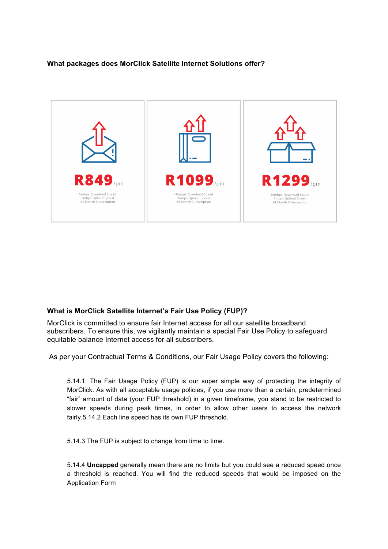## **What packages does MorClick Satellite Internet Solutions offer?**



## **What is MorClick Satellite Internet's Fair Use Policy (FUP)?**

MorClick is committed to ensure fair Internet access for all our satellite broadband subscribers. To ensure this, we vigilantly maintain a special Fair Use Policy to safeguard equitable balance Internet access for all subscribers.

As per your Contractual Terms & Conditions, our Fair Usage Policy covers the following:

5.14.1. The Fair Usage Policy (FUP) is our super simple way of protecting the integrity of MorClick. As with all acceptable usage policies, if you use more than a certain, predetermined "fair" amount of data (your FUP threshold) in a given timeframe, you stand to be restricted to slower speeds during peak times, in order to allow other users to access the network fairly.5.14.2 Each line speed has its own FUP threshold.

5.14.3 The FUP is subject to change from time to time.

5.14.4 **Uncapped** generally mean there are no limits but you could see a reduced speed once a threshold is reached. You will find the reduced speeds that would be imposed on the Application Form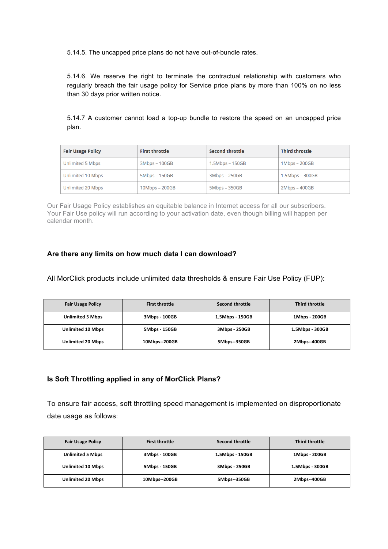5.14.5. The uncapped price plans do not have out-of-bundle rates.

5.14.6. We reserve the right to terminate the contractual relationship with customers who regularly breach the fair usage policy for Service price plans by more than 100% on no less than 30 days prior written notice.

5.14.7 A customer cannot load a top-up bundle to restore the speed on an uncapped price plan.

| <b>Fair Usage Policy</b> | <b>First throttle</b> | <b>Second throttle</b> | <b>Third throttle</b> |
|--------------------------|-----------------------|------------------------|-----------------------|
| Unlimited 5 Mbps         | $3Mbps - 100GB$       | $1.5M$ bps – $150GB$   | $1Mbps - 200GB$       |
| Unlimited 10 Mbps        | $5Mbps - 150GB$       | $3Mbps - 250GB$        | $1.5Mbps - 300GB$     |
| Unlimited 20 Mbps        | $10Mbps - 200GB$      | $5Mbps - 350GB$        | $2Mbps - 400GB$       |

Our Fair Usage Policy establishes an equitable balance in Internet access for all our subscribers. Your Fair Use policy will run according to your activation date, even though billing will happen per calendar month.

## **Are there any limits on how much data I can download?**

All MorClick products include unlimited data thresholds & ensure Fair Use Policy (FUP):

| <b>Fair Usage Policy</b> | <b>First throttle</b> | Second throttle | <b>Third throttle</b> |
|--------------------------|-----------------------|-----------------|-----------------------|
| <b>Unlimited 5 Mbps</b>  | 3Mbps - 100GB         | 1.5Mbps - 150GB | 1Mbps - 200GB         |
| <b>Unlimited 10 Mbps</b> | 5Mbps - 150GB         | 3Mbps - 250GB   | 1.5Mbps - 300GB       |
| <b>Unlimited 20 Mbps</b> | 10Mbps--200GB         | 5Mbps--350GB    | 2Mbps--400GB          |

## **Is Soft Throttling applied in any of MorClick Plans?**

To ensure fair access, soft throttling speed management is implemented on disproportionate date usage as follows:

| <b>Fair Usage Policy</b> | <b>First throttle</b> | Second throttle | Third throttle  |
|--------------------------|-----------------------|-----------------|-----------------|
| <b>Unlimited 5 Mbps</b>  | 3Mbps - 100GB         | 1.5Mbps - 150GB | 1Mbps - 200GB   |
| <b>Unlimited 10 Mbps</b> | 5Mbps - 150GB         | 3Mbps - 250GB   | 1.5Mbps - 300GB |
| <b>Unlimited 20 Mbps</b> | 10Mbps--200GB         | 5Mbps--350GB    | 2Mbps--400GB    |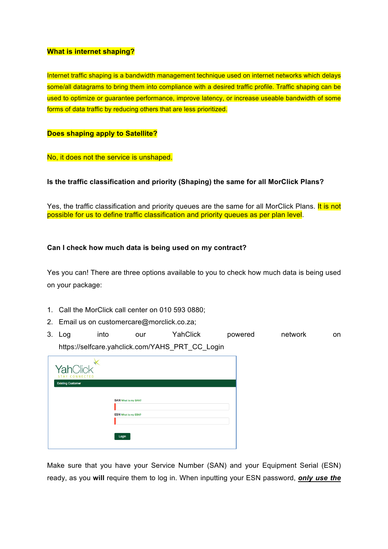#### **What is internet shaping?**

Internet traffic shaping is a bandwidth management technique used on internet networks which delays some/all datagrams to bring them into compliance with a desired traffic profile. Traffic shaping can be used to optimize or guarantee performance, improve latency, or increase useable bandwidth of some forms of data traffic by reducing others that are less prioritized.

#### **Does shaping apply to Satellite?**

No, it does not the service is unshaped.

**Is the traffic classification and priority (Shaping) the same for all MorClick Plans?** 

Yes, the traffic classification and priority queues are the same for all MorClick Plans. It is not possible for us to define traffic classification and priority queues as per plan level.

#### **Can I check how much data is being used on my contract?**

Yes you can! There are three options available to you to check how much data is being used on your package:

- 1. Call the MorClick call center on 010 593 0880;
- 2. Email us on customercare@morclick.co.za;
- 3. Log into our YahClick powered network on https://selfcare.yahclick.com/YAHS\_PRT\_CC\_Login

| YahClick<br><b>STAY CONNECTED</b> |                            |
|-----------------------------------|----------------------------|
| <b>Existing Customer</b>          |                            |
|                                   |                            |
|                                   | <b>SAN What is my SAN?</b> |
|                                   | <b>ESN What is my ESN?</b> |
|                                   |                            |
|                                   | Login                      |

Make sure that you have your Service Number (SAN) and your Equipment Serial (ESN) ready, as you **will** require them to log in. When inputting your ESN password, *only use the*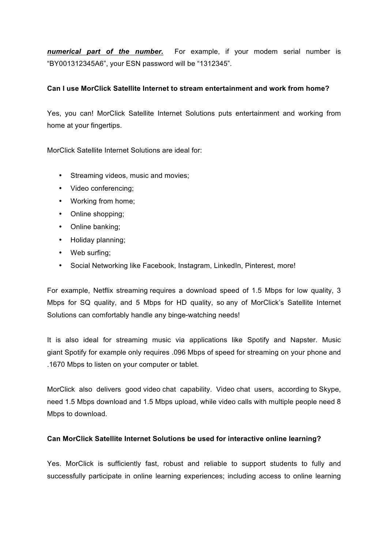*numerical part of the number.* For example, if your modem serial number is "BY001312345A6", your ESN password will be "1312345".

## **Can I use MorClick Satellite Internet to stream entertainment and work from home?**

Yes, you can! MorClick Satellite Internet Solutions puts entertainment and working from home at your fingertips.

MorClick Satellite Internet Solutions are ideal for:

- Streaming videos, music and movies;
- Video conferencing;
- Working from home;
- Online shopping;
- Online banking;
- Holiday planning;
- Web surfing;
- Social Networking like Facebook, Instagram, LinkedIn, Pinterest, more!

For example, Netflix streaming requires a download speed of 1.5 Mbps for low quality, 3 Mbps for SQ quality, and 5 Mbps for HD quality, so any of MorClick's Satellite Internet Solutions can comfortably handle any binge-watching needs!

It is also ideal for streaming music via applications like Spotify and Napster. Music giant Spotify for example only requires .096 Mbps of speed for streaming on your phone and .1670 Mbps to listen on your computer or tablet.

MorClick also delivers good video chat capability. Video chat users, according to Skype, need 1.5 Mbps download and 1.5 Mbps upload, while video calls with multiple people need 8 Mbps to download.

## **Can MorClick Satellite Internet Solutions be used for interactive online learning?**

Yes. MorClick is sufficiently fast, robust and reliable to support students to fully and successfully participate in online learning experiences; including access to online learning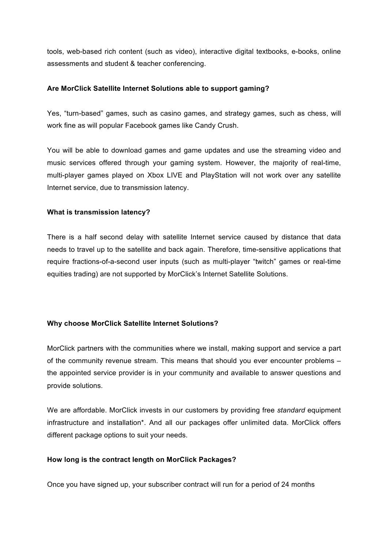tools, web-based rich content (such as video), interactive digital textbooks, e-books, online assessments and student & teacher conferencing.

#### **Are MorClick Satellite Internet Solutions able to support gaming?**

Yes, "turn-based" games, such as casino games, and strategy games, such as chess, will work fine as will popular Facebook games like Candy Crush.

You will be able to download games and game updates and use the streaming video and music services offered through your gaming system. However, the majority of real-time, multi-player games played on Xbox LIVE and PlayStation will not work over any satellite Internet service, due to transmission latency.

#### **What is transmission latency?**

There is a half second delay with satellite Internet service caused by distance that data needs to travel up to the satellite and back again. Therefore, time-sensitive applications that require fractions-of-a-second user inputs (such as multi-player "twitch" games or real-time equities trading) are not supported by MorClick's Internet Satellite Solutions.

#### **Why choose MorClick Satellite Internet Solutions?**

MorClick partners with the communities where we install, making support and service a part of the community revenue stream. This means that should you ever encounter problems – the appointed service provider is in your community and available to answer questions and provide solutions.

We are affordable. MorClick invests in our customers by providing free *standard* equipment infrastructure and installation\*. And all our packages offer unlimited data. MorClick offers different package options to suit your needs.

#### **How long is the contract length on MorClick Packages?**

Once you have signed up, your subscriber contract will run for a period of 24 months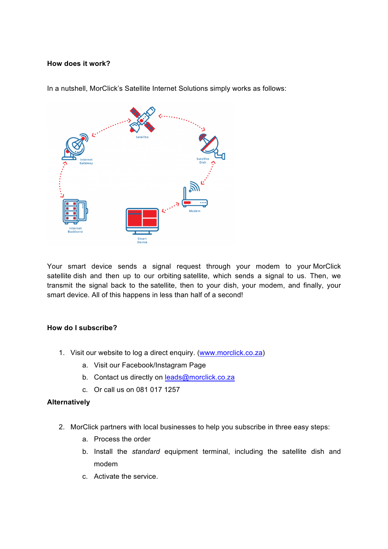#### **How does it work?**

In a nutshell, MorClick's Satellite Internet Solutions simply works as follows:

Your smart device sends a signal request through your modem to your MorClick satellite dish and then up to our orbiting satellite, which sends a signal to us. Then, we transmit the signal back to the satellite, then to your dish, your modem, and finally, your smart device. All of this happens in less than half of a second!

#### **How do I subscribe?**

- 1. Visit our website to log a direct enquiry. (www.morclick.co.za)
	- a. Visit our Facebook/Instagram Page
	- b. Contact us directly on leads@morclick.co.za
	- c. Or call us on 081 017 1257

#### **Alternatively**

- 2. MorClick partners with local businesses to help you subscribe in three easy steps:
	- a. Process the order
	- b. Install the *standard* equipment terminal, including the satellite dish and modem
	- c. Activate the service.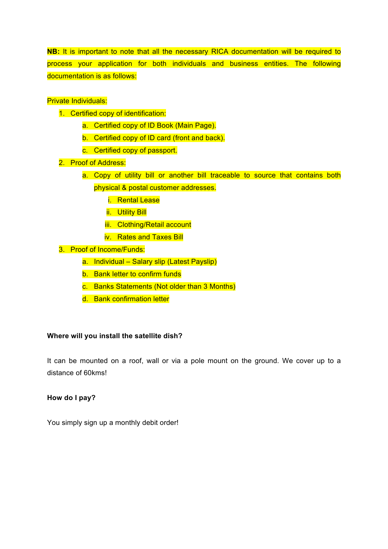**NB:** It is important to note that all the necessary RICA documentation will be required to process your application for both individuals and business entities. The following documentation is as follows:

## Private Individuals:

- 1. Certified copy of identification:
	- a. Certified copy of ID Book (Main Page).
	- b. Certified copy of ID card (front and back).
	- c. Certified copy of passport.
- 2. Proof of Address:
	- a. Copy of utility bill or another bill traceable to source that contains both physical & postal customer addresses.
		- **i.** Rental Lease
		- ii. Utility Bill
		- iii. Clothing/Retail account
		- iv. Rates and Taxes Bill
- 3. Proof of Income/Funds:
	- a. Individual Salary slip (Latest Payslip)
	- b. Bank letter to confirm funds
	- c. Banks Statements (Not older than 3 Months)
	- d. Bank confirmation letter

#### **Where will you install the satellite dish?**

It can be mounted on a roof, wall or via a pole mount on the ground. We cover up to a distance of 60kms!

**How do I pay?**

You simply sign up a monthly debit order!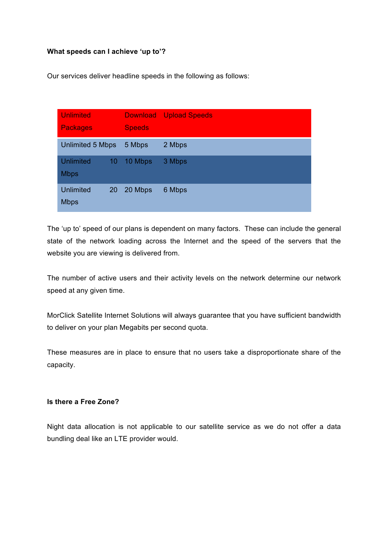#### **What speeds can I achieve 'up to'?**

Our services deliver headline speeds in the following as follows:

| <b>Unlimited</b>                |    | <b>Download</b> | <b>Upload Speeds</b> |
|---------------------------------|----|-----------------|----------------------|
| <b>Packages</b>                 |    | <b>Speeds</b>   |                      |
| <b>Unlimited 5 Mbps</b>         |    | 5 Mbps          | 2 Mbps               |
| <b>Unlimited</b><br><b>Mbps</b> | 10 | 10 Mbps         | 3 Mbps               |
| Unlimited<br><b>Mbps</b>        | 20 | 20 Mbps         | 6 Mbps               |

The 'up to' speed of our plans is dependent on many factors. These can include the general state of the network loading across the Internet and the speed of the servers that the website you are viewing is delivered from.

The number of active users and their activity levels on the network determine our network speed at any given time.

MorClick Satellite Internet Solutions will always guarantee that you have sufficient bandwidth to deliver on your plan Megabits per second quota.

These measures are in place to ensure that no users take a disproportionate share of the capacity.

## **Is there a Free Zone?**

Night data allocation is not applicable to our satellite service as we do not offer a data bundling deal like an LTE provider would.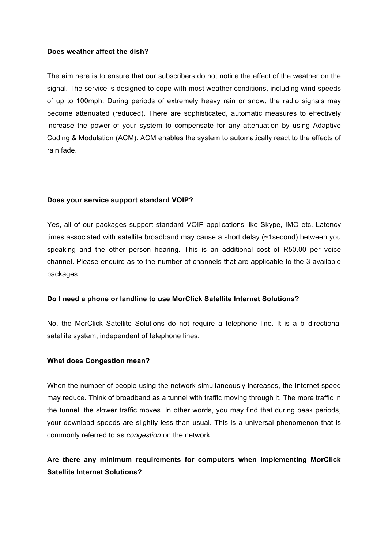#### **Does weather affect the dish?**

The aim here is to ensure that our subscribers do not notice the effect of the weather on the signal. The service is designed to cope with most weather conditions, including wind speeds of up to 100mph. During periods of extremely heavy rain or snow, the radio signals may become attenuated (reduced). There are sophisticated, automatic measures to effectively increase the power of your system to compensate for any attenuation by using Adaptive Coding & Modulation (ACM). ACM enables the system to automatically react to the effects of rain fade.

#### **Does your service support standard VOIP?**

Yes, all of our packages support standard VOIP applications like Skype, IMO etc. Latency times associated with satellite broadband may cause a short delay (~1second) between you speaking and the other person hearing. This is an additional cost of R50.00 per voice channel. Please enquire as to the number of channels that are applicable to the 3 available packages.

#### **Do I need a phone or landline to use MorClick Satellite Internet Solutions?**

No, the MorClick Satellite Solutions do not require a telephone line. It is a bi-directional satellite system, independent of telephone lines.

#### **What does Congestion mean?**

When the number of people using the network simultaneously increases, the Internet speed may reduce. Think of broadband as a tunnel with traffic moving through it. The more traffic in the tunnel, the slower traffic moves. In other words, you may find that during peak periods, your download speeds are slightly less than usual. This is a universal phenomenon that is commonly referred to as *congestion* on the network.

# **Are there any minimum requirements for computers when implementing MorClick Satellite Internet Solutions?**